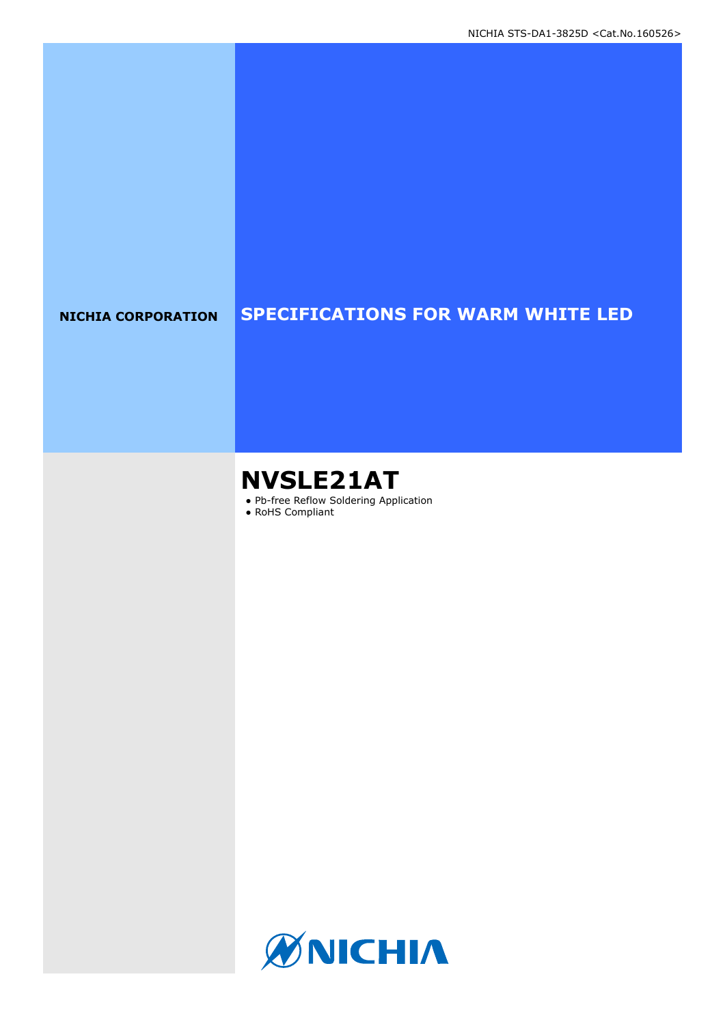### **NICHIA CORPORATION SPECIFICATIONS FOR WARM WHITE LED**

# **NVSLE21AT**

- Pb-free Reflow Soldering Application
- RoHS Compliant

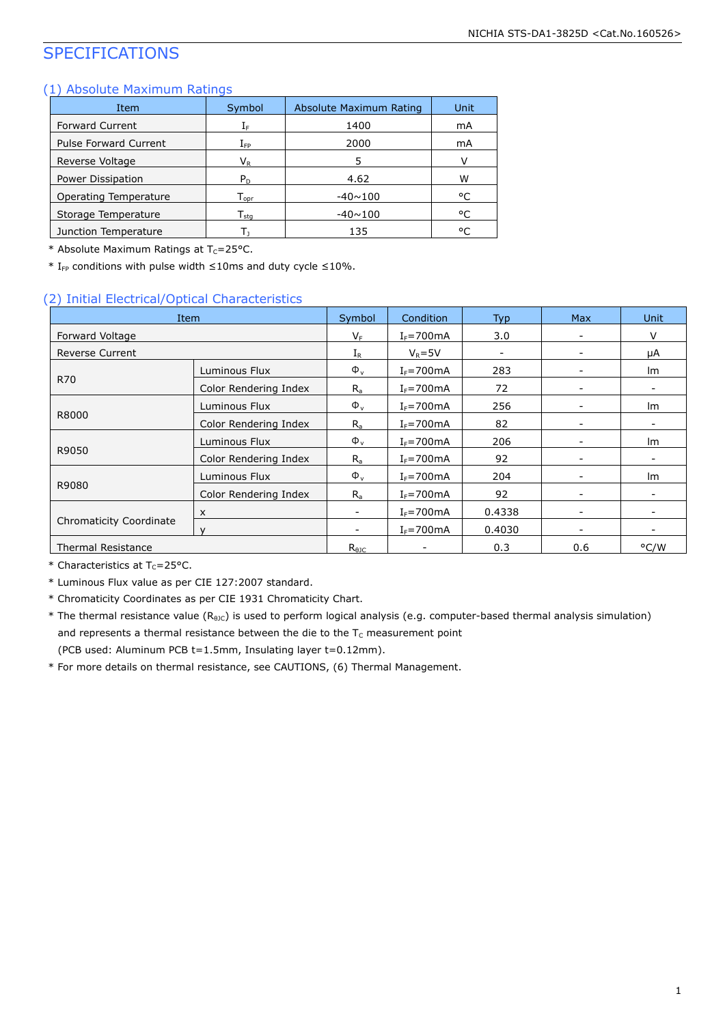### SPECIFICATIONS

#### (1) Absolute Maximum Ratings

| Item                         | Symbol                       | Absolute Maximum Rating | Unit |
|------------------------------|------------------------------|-------------------------|------|
| <b>Forward Current</b>       | $\mathrm{I}_\mathrm{F}$      | 1400                    | mA   |
| <b>Pulse Forward Current</b> | $I_{\mathsf{FP}}$            | 2000                    | mA   |
| Reverse Voltage              | $V_{R}$                      | 5                       |      |
| Power Dissipation            | $P_{D}$                      | 4.62                    | w    |
| Operating Temperature        | $\mathsf{T}_{\mathsf{oor}}$  | $-40 \sim 100$          | °C   |
| Storage Temperature          | ${\mathsf T}_{\textsf{sta}}$ | $-40 \sim 100$          | °C   |
| Junction Temperature         |                              | 135                     | ۰ς   |

\* Absolute Maximum Ratings at  $T_c = 25$ °C.

\* I<sub>FP</sub> conditions with pulse width ≤10ms and duty cycle ≤10%.

#### (2) Initial Electrical/Optical Characteristics

| Item                           | Symbol                | Condition                | <b>Typ</b>      | <b>Max</b> | <b>Unit</b>              |      |
|--------------------------------|-----------------------|--------------------------|-----------------|------------|--------------------------|------|
| Forward Voltage                |                       | $V_F$                    | $I_F = 700$ mA  | 3.0        | $\overline{\phantom{a}}$ | v    |
| <b>Reverse Current</b>         |                       | $I_{R}$                  | $V_R = 5V$      |            | -                        | μA   |
|                                | Luminous Flux         | $\Phi_{\rm v}$           | $I_F = 700$ mA  | 283        | $\overline{\phantom{a}}$ | Im   |
| <b>R70</b>                     | Color Rendering Index | $R_{a}$                  | $I_F = 700$ mA  | 72         | $\overline{\phantom{a}}$ |      |
|                                | Luminous Flux         | $\Phi_{\rm v}$           | $I_F = 700$ mA  | 256        | $\overline{\phantom{a}}$ | Im   |
| R8000                          | Color Rendering Index | $R_{a}$                  | $I_F = 700$ mA  | 82         | -                        |      |
|                                | Luminous Flux         | $\Phi_{v}$               | $I_F = 700$ mA  | 206        | $\overline{\phantom{a}}$ | lm   |
| R9050                          | Color Rendering Index | $R_{a}$                  | $I_F = 700$ mA  | 92         | -                        |      |
|                                | Luminous Flux         | $\Phi_{\rm v}$           | $I_F = 700$ mA  | 204        | -                        | Im   |
| R9080                          | Color Rendering Index | $R_{a}$                  | $I_F = 700$ mA  | 92         | $\overline{\phantom{a}}$ |      |
| <b>Chromaticity Coordinate</b> | X                     | $\overline{\phantom{a}}$ | $I_F = 700$ mA  | 0.4338     | $\overline{\phantom{0}}$ |      |
|                                |                       | -                        | $I_F = 700$ mA  | 0.4030     | -                        |      |
| <b>Thermal Resistance</b>      |                       | $R_{\theta$ JC           | $\qquad \qquad$ | 0.3        | 0.6                      | °C/W |

\* Characteristics at  $T_c = 25$ °C.

\* Luminous Flux value as per CIE 127:2007 standard.

\* Chromaticity Coordinates as per CIE 1931 Chromaticity Chart.

\* The thermal resistance value (R<sub>9JC</sub>) is used to perform logical analysis (e.g. computer-based thermal analysis simulation) and represents a thermal resistance between the die to the  $T_c$  measurement point (PCB used: Aluminum PCB t=1.5mm, Insulating layer t=0.12mm).

\* For more details on thermal resistance, see CAUTIONS, (6) Thermal Management.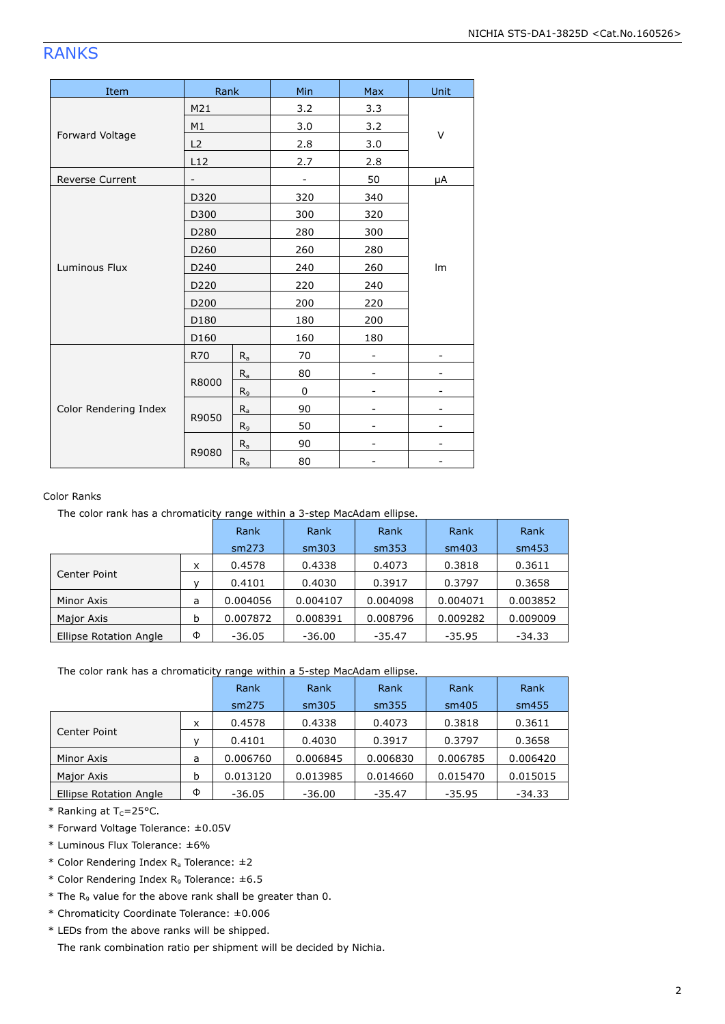### RANKS

| Item                   | Rank              |         | Min | Max | Unit |  |
|------------------------|-------------------|---------|-----|-----|------|--|
|                        | M21               |         | 3.2 | 3.3 |      |  |
|                        | M1                |         | 3.0 | 3.2 | V    |  |
| Forward Voltage        | L2                |         | 2.8 | 3.0 |      |  |
|                        | L12               |         | 2.7 | 2.8 |      |  |
| <b>Reverse Current</b> | $\qquad \qquad -$ |         |     | 50  | μA   |  |
|                        | D320              |         | 320 | 340 |      |  |
|                        | D300              |         | 300 | 320 |      |  |
|                        | D280              |         | 280 | 300 |      |  |
|                        | D260              |         | 260 | 280 | Im   |  |
| Luminous Flux          | D240              |         | 240 | 260 |      |  |
|                        | D220              |         | 220 | 240 |      |  |
|                        | D <sub>200</sub>  |         | 200 | 220 |      |  |
|                        | D180              |         | 180 | 200 |      |  |
|                        | D160              |         | 160 | 180 |      |  |
|                        | R70               | $R_{a}$ | 70  |     |      |  |
|                        |                   | $R_a$   | 80  |     |      |  |
| Color Rendering Index  | R8000             | $R_9$   | 0   |     |      |  |
|                        |                   | $R_a$   | 90  |     |      |  |
|                        | R9050             | $R_9$   | 50  |     |      |  |
|                        |                   | $R_{a}$ | 90  | -   | -    |  |
|                        | R9080             | $R_9$   | 80  |     |      |  |

#### Color Ranks

The color rank has a chromaticity range within a 3-step MacAdam ellipse.

|                        |   | Rank     | Rank     | Rank     | Rank     | Rank     |
|------------------------|---|----------|----------|----------|----------|----------|
|                        |   | sm273    | sm303    | sm353    | sm403    | sm453    |
|                        | x | 0.4578   | 0.4338   | 0.4073   | 0.3818   | 0.3611   |
| Center Point           |   | 0.4101   | 0.4030   | 0.3917   | 0.3797   | 0.3658   |
| Minor Axis             | a | 0.004056 | 0.004107 | 0.004098 | 0.004071 | 0.003852 |
| Major Axis             | b | 0.007872 | 0.008391 | 0.008796 | 0.009282 | 0.009009 |
| Ellipse Rotation Angle | Φ | $-36.05$ | $-36.00$ | $-35.47$ | $-35.95$ | $-34.33$ |

The color rank has a chromaticity range within a 5-step MacAdam ellipse.

|                               |   | Rank     | Rank<br>Rank |          | Rank     | Rank     |
|-------------------------------|---|----------|--------------|----------|----------|----------|
|                               |   | sm275    | sm305        | sm355    | sm405    | sm455    |
| Center Point                  | x | 0.4578   | 0.4338       | 0.4073   | 0.3818   | 0.3611   |
|                               |   | 0.4101   | 0.4030       | 0.3917   | 0.3797   | 0.3658   |
| Minor Axis                    | a | 0.006760 | 0.006845     | 0.006830 | 0.006785 | 0.006420 |
| Major Axis                    | b | 0.013120 | 0.013985     | 0.014660 | 0.015470 | 0.015015 |
| <b>Ellipse Rotation Angle</b> | Φ | $-36.05$ | $-36.00$     | $-35.47$ | $-35.95$ | $-34.33$ |

 $*$  Ranking at T<sub>c</sub>=25°C.

\* Forward Voltage Tolerance: ±0.05V

\* Luminous Flux Tolerance: ±6%

\* Color Rendering Index  $R_a$  Tolerance:  $\pm 2$ 

\* Color Rendering Index R<sup>9</sup> Tolerance: ±6.5

 $*$  The R<sub>9</sub> value for the above rank shall be greater than 0.

\* Chromaticity Coordinate Tolerance: ±0.006

\* LEDs from the above ranks will be shipped.

The rank combination ratio per shipment will be decided by Nichia.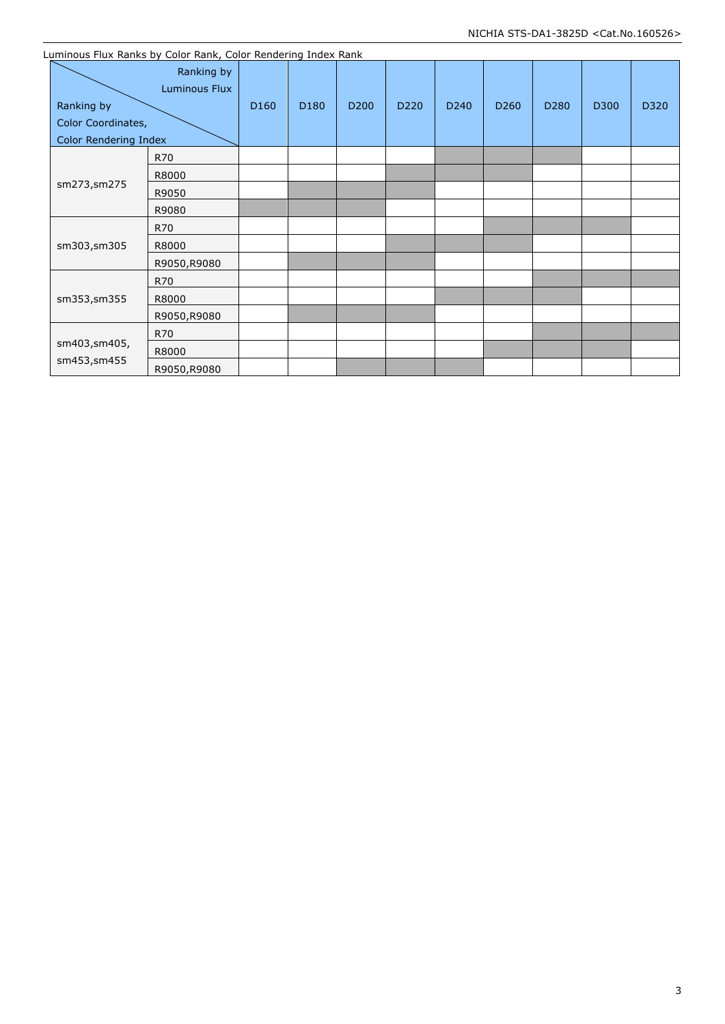|                                                                  | Luminous Flux Ranks by Color Rank, Color Rendering Index Rank |                  |      |                  |      |      |                  |      |      |      |
|------------------------------------------------------------------|---------------------------------------------------------------|------------------|------|------------------|------|------|------------------|------|------|------|
| Ranking by<br>Color Coordinates,<br><b>Color Rendering Index</b> | Ranking by<br>Luminous Flux                                   | D <sub>160</sub> | D180 | D <sub>200</sub> | D220 | D240 | D <sub>260</sub> | D280 | D300 | D320 |
|                                                                  | R70                                                           |                  |      |                  |      |      |                  |      |      |      |
|                                                                  | R8000                                                         |                  |      |                  |      |      |                  |      |      |      |
| sm273,sm275                                                      | R9050                                                         |                  |      |                  |      |      |                  |      |      |      |
|                                                                  | R9080                                                         |                  |      |                  |      |      |                  |      |      |      |
|                                                                  | R70                                                           |                  |      |                  |      |      |                  |      |      |      |
| sm303,sm305                                                      | R8000                                                         |                  |      |                  |      |      |                  |      |      |      |
|                                                                  | R9050,R9080                                                   |                  |      |                  |      |      |                  |      |      |      |
|                                                                  | R70                                                           |                  |      |                  |      |      |                  |      |      |      |
| sm353,sm355                                                      | R8000                                                         |                  |      |                  |      |      |                  |      |      |      |
|                                                                  | R9050,R9080                                                   |                  |      |                  |      |      |                  |      |      |      |
|                                                                  | R70                                                           |                  |      |                  |      |      |                  |      |      |      |
| sm403,sm405,                                                     | R8000                                                         |                  |      |                  |      |      |                  |      |      |      |
| sm453, sm455                                                     | R9050,R9080                                                   |                  |      |                  |      |      |                  |      |      |      |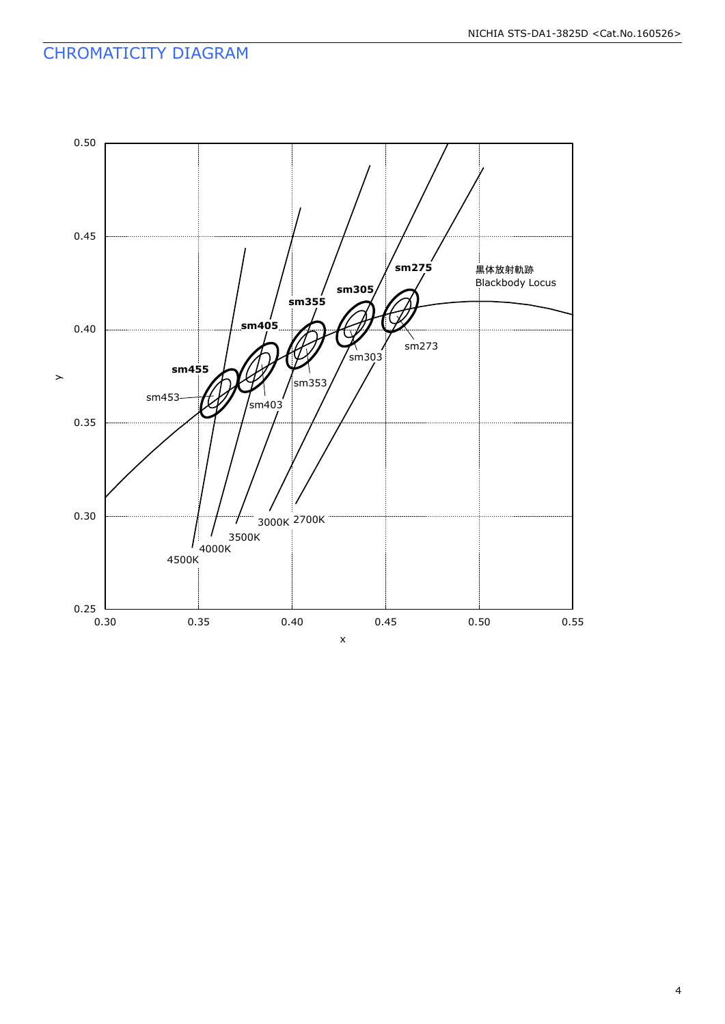### CHROMATICITY DIAGRAM

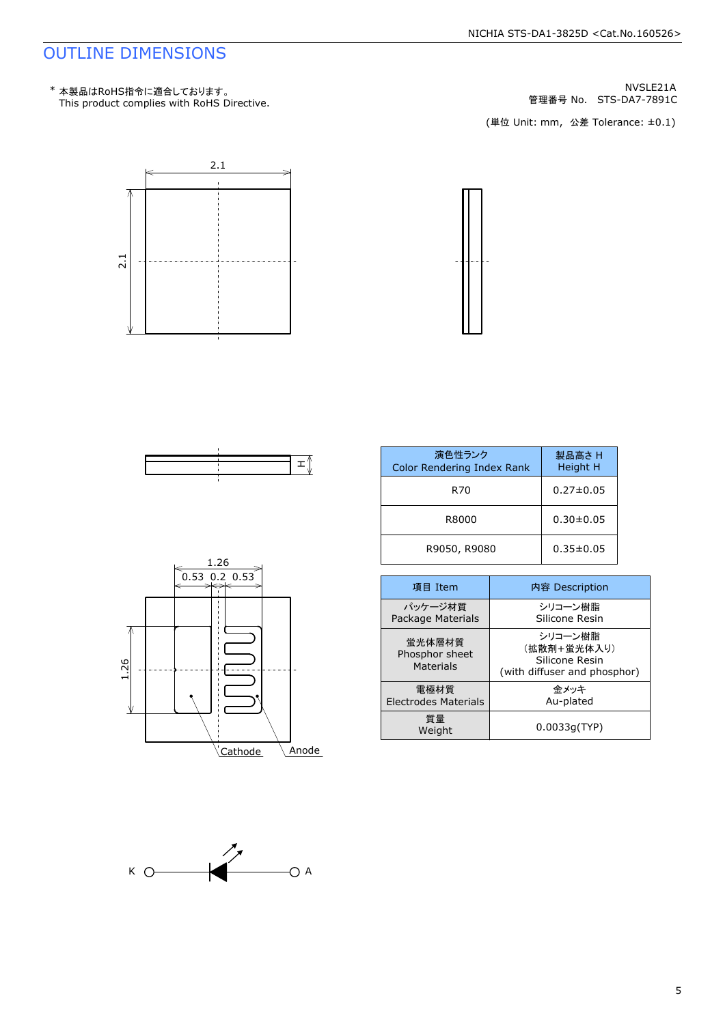### OUTLINE DIMENSIONS

NVSLE21A<br>管理番号 No. STS-DA7-7891C





| 演色性ランク<br>Color Rendering Index Rank | 製品高さH<br>Height H |
|--------------------------------------|-------------------|
| R70                                  | $0.27 \pm 0.05$   |
| R8000                                | $0.30 \pm 0.05$   |
| R9050, R9080                         | $0.35 \pm 0.05$   |

| 項目 Item                                      | 内容 Description                                                           |
|----------------------------------------------|--------------------------------------------------------------------------|
| パッケージ材質<br>Package Materials                 | シリコーン樹脂<br>Silicone Resin                                                |
| 蛍光体層材質<br>Phosphor sheet<br><b>Materials</b> | シリコーン樹脂<br>(拡散剤+蛍光体入り)<br>Silicone Resin<br>(with diffuser and phosphor) |
| 雷極材質<br><b>Electrodes Materials</b>          | 金メッキ<br>Au-plated                                                        |
| 質量<br>Weight                                 | 0.0033q(TYP)                                                             |



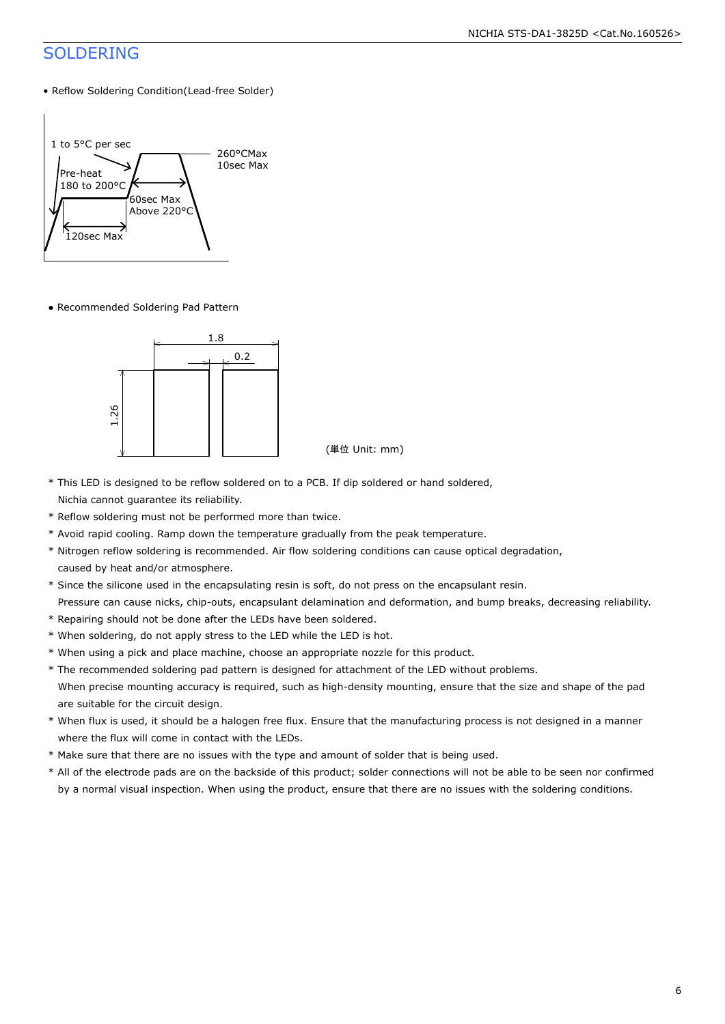### SOLDERING

• Reflow Soldering Condition(Lead-free Solder)



● Recommended Soldering Pad Pattern



- \* This LED is designed to be reflow soldered on to a PCB. If dip soldered or hand soldered, Nichia cannot guarantee its reliability.
- \* Reflow soldering must not be performed more than twice.
- \* Avoid rapid cooling. Ramp down the temperature gradually from the peak temperature.
- \* Nitrogen reflow soldering is recommended. Air flow soldering conditions can cause optical degradation, caused by heat and/or atmosphere.
- \* Since the silicone used in the encapsulating resin is soft, do not press on the encapsulant resin.
- Pressure can cause nicks, chip-outs, encapsulant delamination and deformation, and bump breaks, decreasing reliability.
- \* Repairing should not be done after the LEDs have been soldered.
- \* When soldering, do not apply stress to the LED while the LED is hot.
- \* When using a pick and place machine, choose an appropriate nozzle for this product.
- \* The recommended soldering pad pattern is designed for attachment of the LED without problems. When precise mounting accuracy is required, such as high-density mounting, ensure that the size and shape of the pad are suitable for the circuit design.
- \* When flux is used, it should be a halogen free flux. Ensure that the manufacturing process is not designed in a manner where the flux will come in contact with the LEDs.
- \* Make sure that there are no issues with the type and amount of solder that is being used.
- \* All of the electrode pads are on the backside of this product; solder connections will not be able to be seen nor confirmed by a normal visual inspection. When using the product, ensure that there are no issues with the soldering conditions.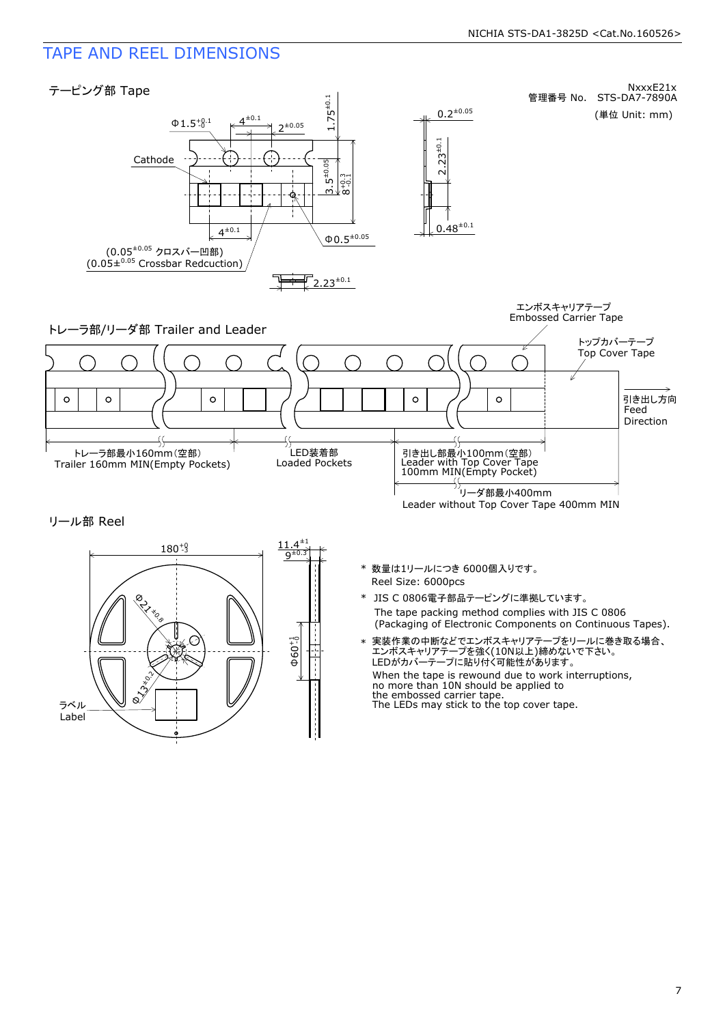### TAPE AND REEL DIMENSIONS





- Reel Size: 6000pcs \* 数量は1リールにつき 6000個入りです。
- The tape packing method complies with JIS C 0806 \* JIS C 0806電子部品テーピングに準拠しています。<br>The tape packing method complies with JIS C 0806<br>(Packaging of Electronic Components on Continuous Tapes).
- When the tape is rewound due to work interruptions, no more than 10N should be applied to the embossed carrier tape.<br>The LEDs may stick to the top cover tape. 実装作業の中断などでエンボスキャリアテープをリールに巻き取る場合、<br>エンボスキャリアテープを強く(10N以上)締めないで下さい。<br>LEDがカバーテープに貼り付く可能性があります。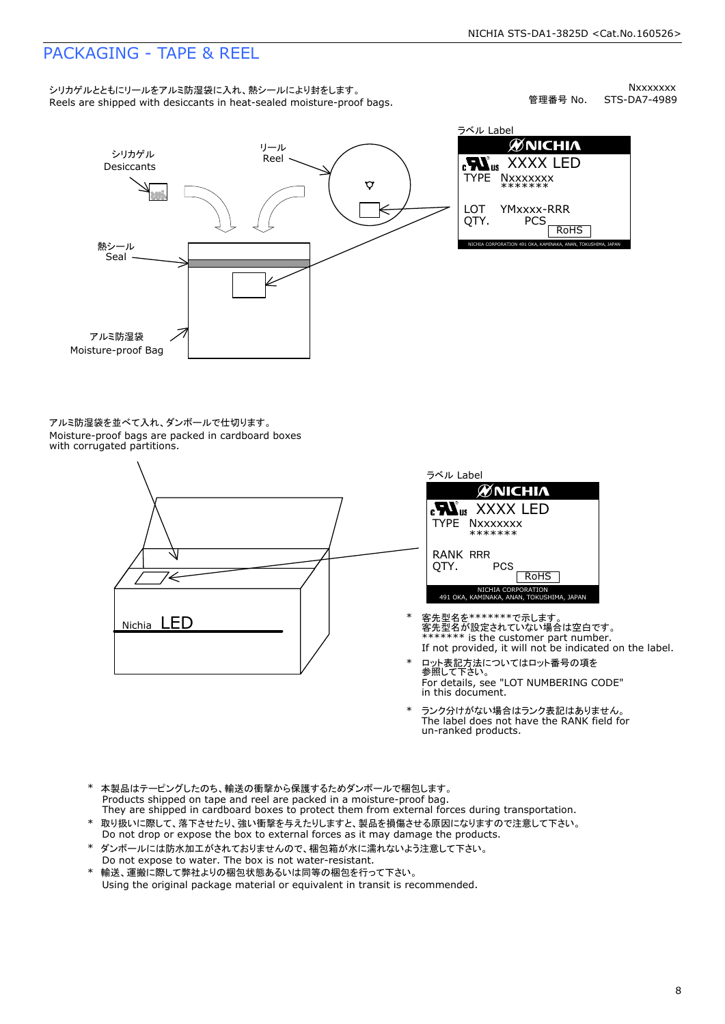### PACKAGING - TAPE & REEL

シリカゲルとともにリールをアルミ防湿袋に入れ、熱シールにより封をします。<br>Reels are shipped with desiccants in heat-sealed moisture-proof bags.

Nxxxxxxx<br>STS-DA7-4989 管理番号 No.



 $\mathscr{U}$ NICHIA  $\begin{array}{lll} \text{RMS} & \text{XXXX} & \text{LED} \\ \text{Type} & \text{Nxxxxxxx} \\ \text{LOT} & \text{YMxxxx-RRR} \\ \text{QTY.} & \text{PCS} \\ \text{ROHS} & \text{ROHS} \end{array}$ TYPE NXXXXXXX<br>\*\*\*\*\*\*\*<br>QTY. PCS ROHS<br>nichia corporation 491 oka, kaminaka, anan, tokushima, japan<br>nichia corporation 491 oka, kaminaka, anan, tokushima, japan YMxxxx-RRR

アルミ防湿袋を並べて入れ、ダンボールで仕切ります。<br>Moisture-proof bags are packed in cardboard boxes<br>with corrugated partitions.





- 客先型名を\*\*\*\*\*\*\*\*で示します。<br>客先型名が設定されていない場合は空白です。<br>\*\*\*\*\*\*\* is the customer part number.<br>If not provided, it will not be indicated on the label.
- \* ロット表記方法についてはロット番号の項を<br>参照して下さい。<br>For details, see "LOT NUMBERING C<br>in this document. For details, see "LOT NUMBERING CODE"
- \* ランク分けがない場合はランク表記はありません。<br>The label does not have the RANK field for<br>un-ranked products.
- 
- \* 本製品はテーピングしたのち、輸送の衝撃から保護するためダンボールで梱包します。<br>Products shipped on tape and reel are packed in a moisture-proof bag.<br>They are shipped in cardboard boxes to protect them from external forces during transportation.<br>\* 取り扱いに際して、落
- ダンボールには防水加工がされておりませんので、梱包箱が水に濡れないよう注意して下さい。<br>Do not expose to water. The box is not water-resistant. \* 取り扱いに際して、落下させたり、強い衝撃を与えたりしますと、製品を損傷させる原因になりますので注意して下さい。<br>Do not drop or expose the box to external forces as it may damage the products.<br>\* ダンボールには防水加工がされておりませんので、梱包箱が水に濡れないよう注意して下さい。<br>Do not expose to water. The box is n
-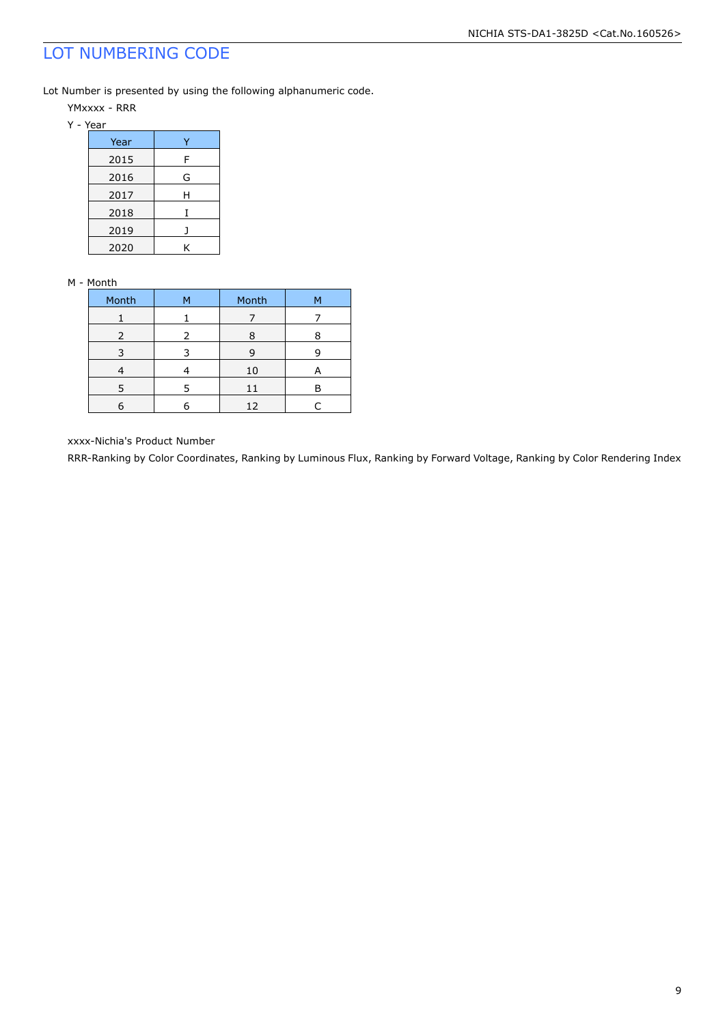### LOT NUMBERING CODE

Lot Number is presented by using the following alphanumeric code.

- YMxxxx RRR
- Y Year

| Year |   |
|------|---|
| 2015 | F |
| 2016 | G |
| 2017 | н |
| 2018 |   |
| 2019 |   |
| 2020 | ĸ |

#### M - Month

| Month | м | Month | м |
|-------|---|-------|---|
|       |   |       |   |
| 2     | っ | Я     |   |
|       |   | q     |   |
|       |   | 10    | А |
| 5     | 5 | 11    | P |
|       |   | 12    |   |

xxxx-Nichia's Product Number

RRR-Ranking by Color Coordinates, Ranking by Luminous Flux, Ranking by Forward Voltage, Ranking by Color Rendering Index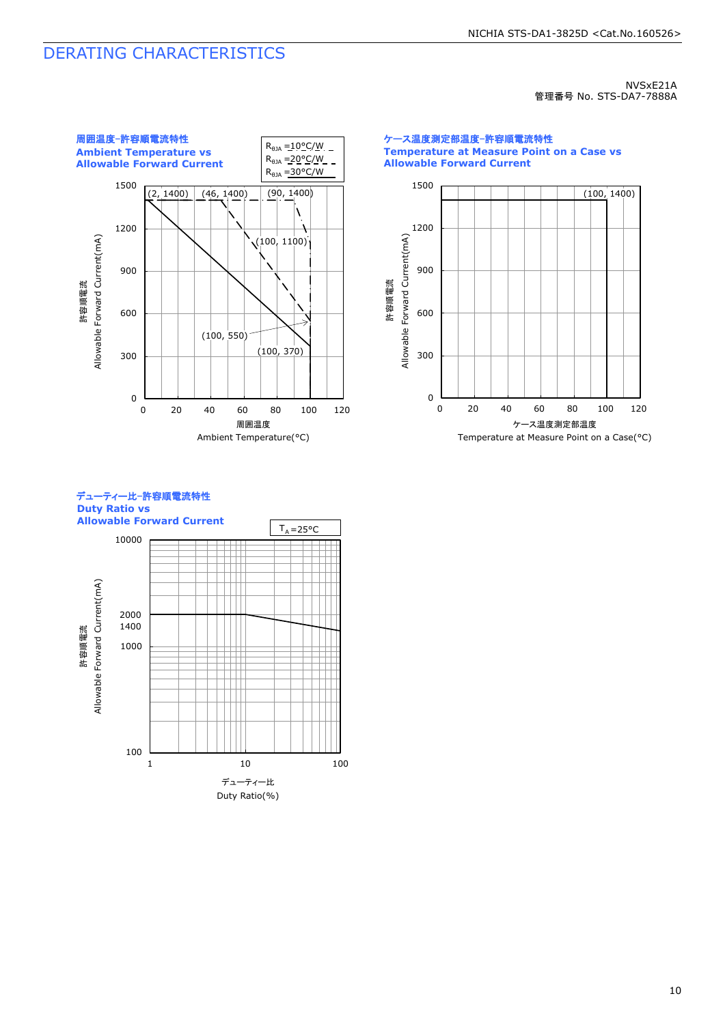### DERATING CHARACTERISTICS

NVSxE21A 管理番号 No. STS-DA7-7888A



0 300 600 900 1200 1500 0 20 40 60 80 100 120 (100, 1400) ケース温度測定部温度-許容順電流特性 **Temperature at Measure Point on a Case vs Allowable Forward Current** 許容順電流<br>Allowable Forward Current(mA) Allowable Forward Current(mA) ケース温度測定部温度



# デューティー比-許容順電流特性

Temperature at Measure Point on a Case(°C)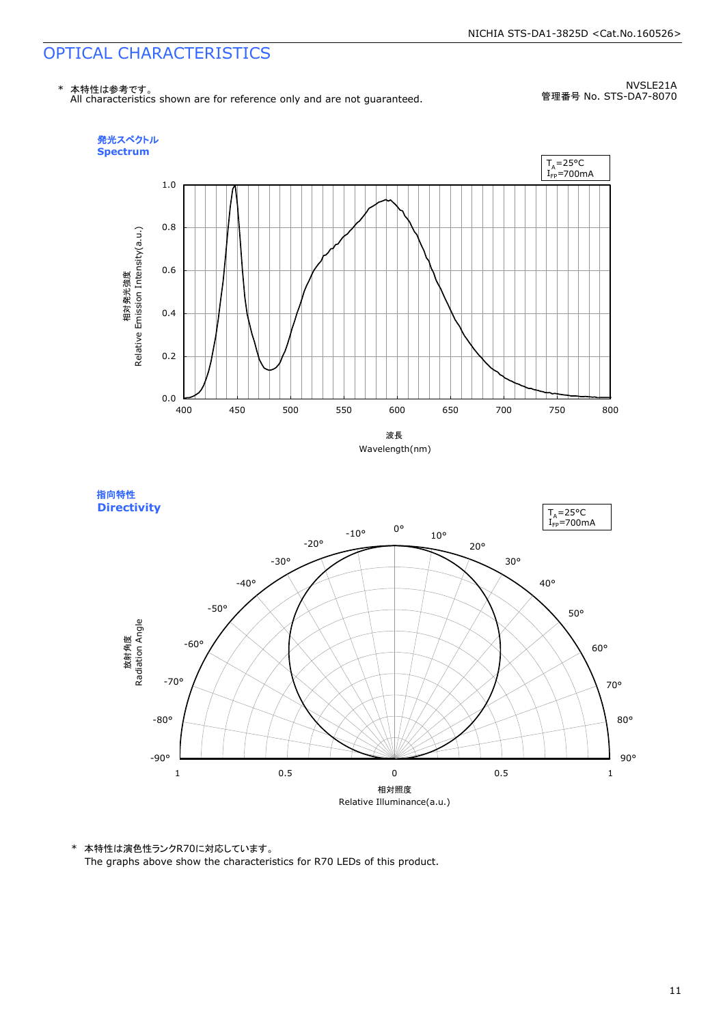## OPTICAL CHARACTERISTICS



NVSLE21A 管理番号 No. STS-DA7-8070







\* 本特性は演色性ランクR70に対応しています。

The graphs above show the characteristics for R70 LEDs of this product.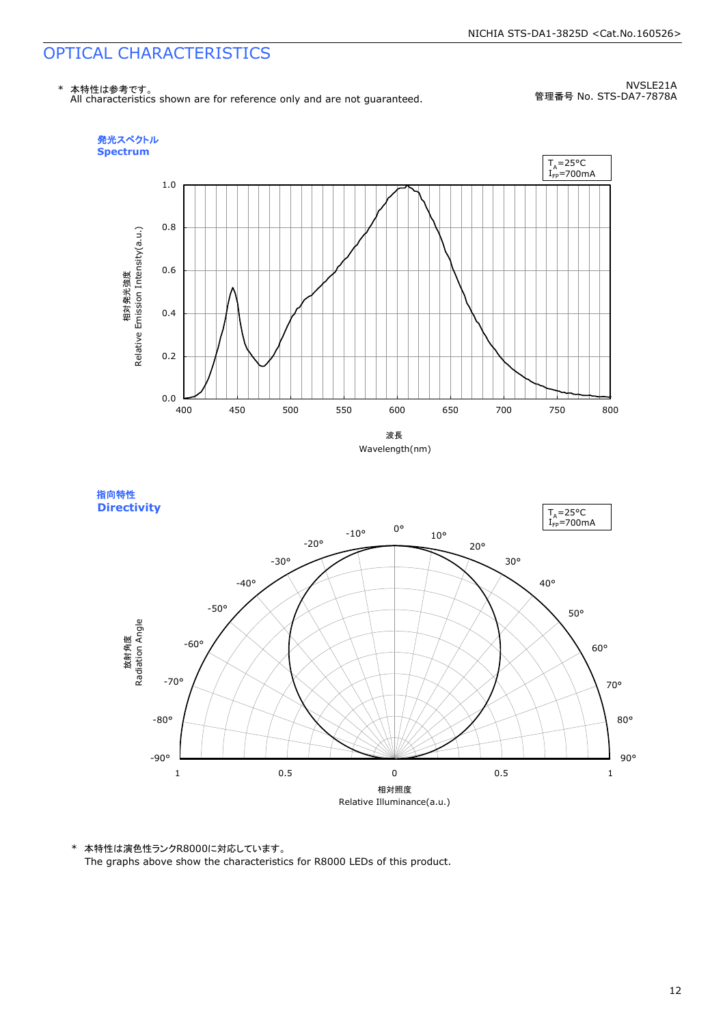$T_A = 25^{\circ}C$ 

### OPTICAL CHARACTERISTICS

指向特性 **Directivity** 



NVSLE21A 管理番号 No. STS-DA7-7878A







\* 本特性は演色性ランクR8000に対応しています。

The graphs above show the characteristics for R8000 LEDs of this product.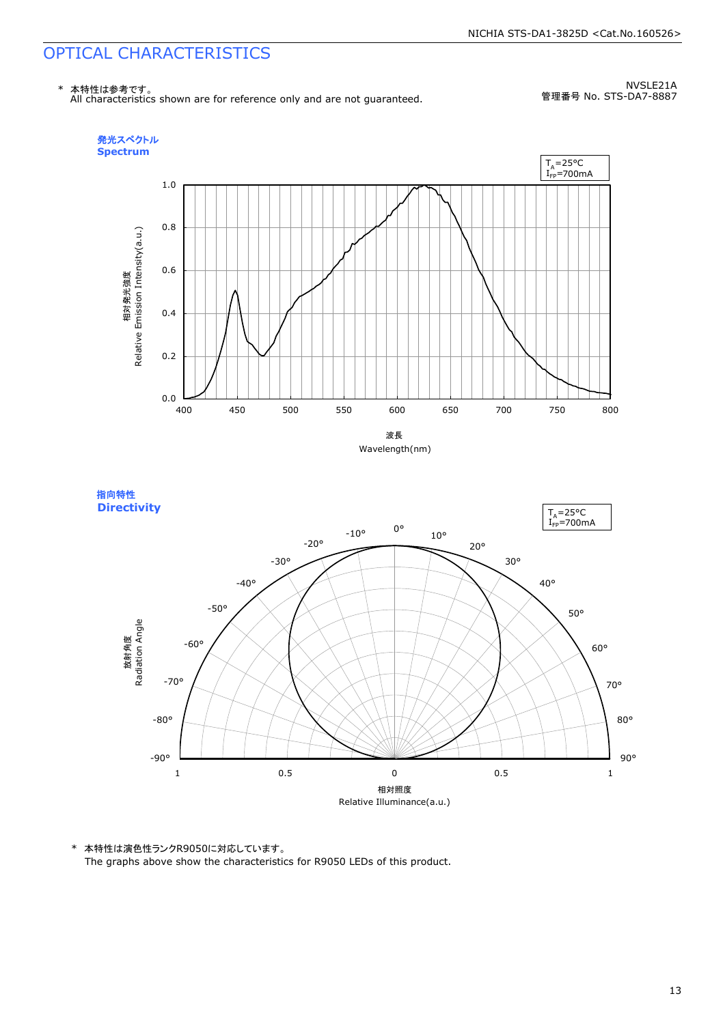### OPTICAL CHARACTERISTICS



NVSLE21A 管理番号 No. STS-DA7-8887





\* 本特性は演色性ランクR9050に対応しています。

The graphs above show the characteristics for R9050 LEDs of this product.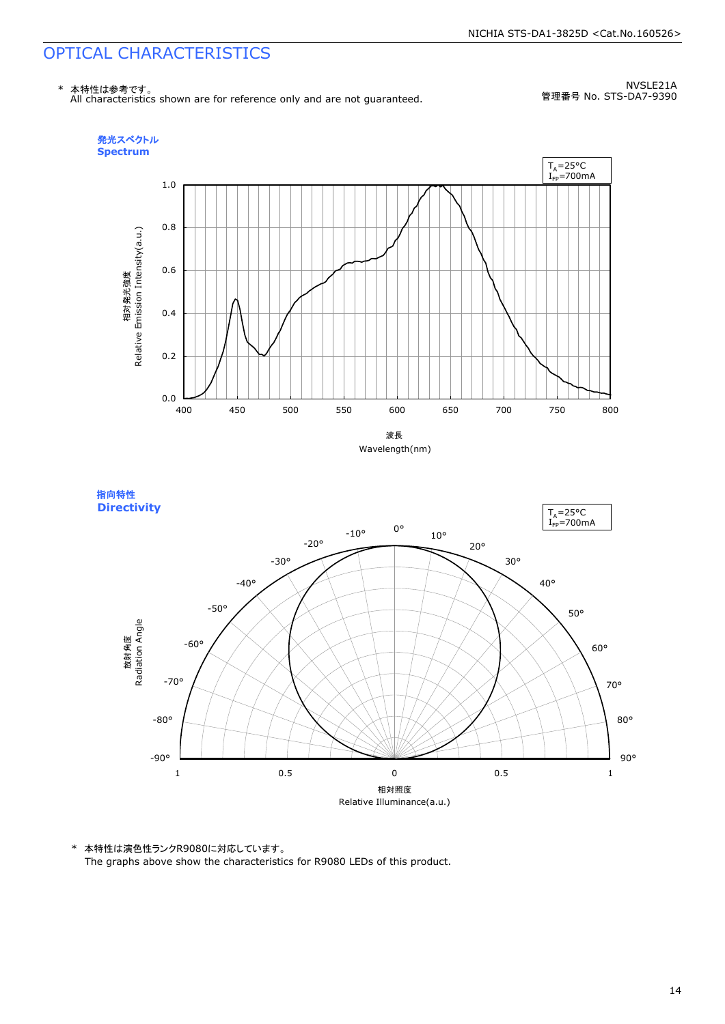## OPTICAL CHARACTERISTICS



NVSLE21A 管理番号 No. STS-DA7-9390







\* 本特性は演色性ランクR9080に対応しています。

The graphs above show the characteristics for R9080 LEDs of this product.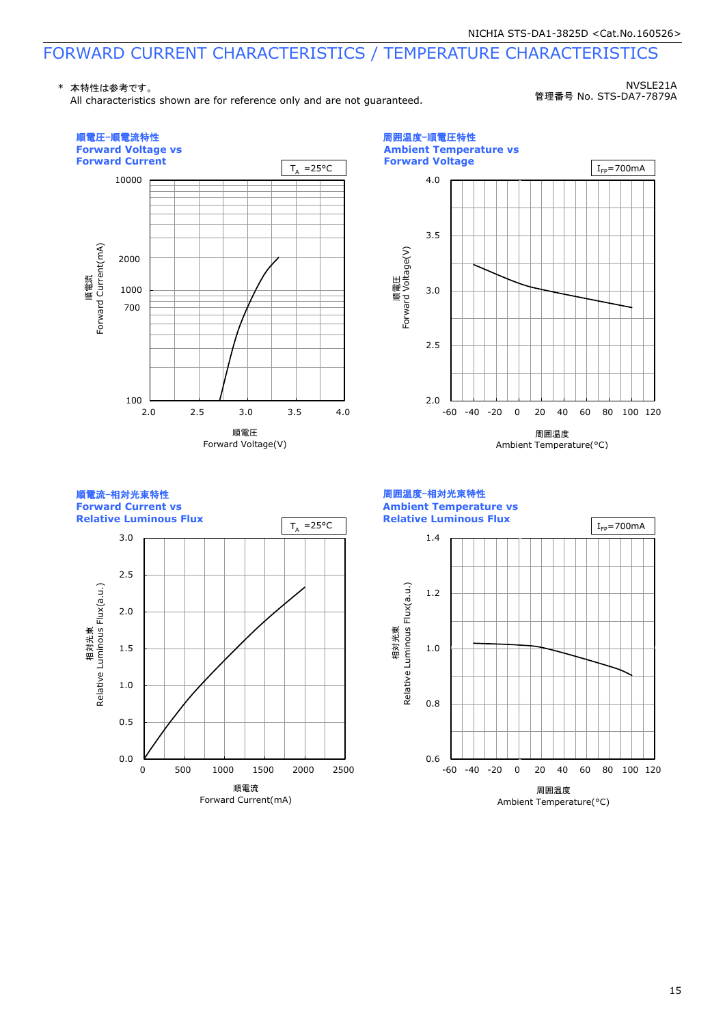\* 本特性は参考です。

All characteristics shown are for reference only and are not guaranteed.

NVSLE21A 管理番号 No. STS-DA7-7879A

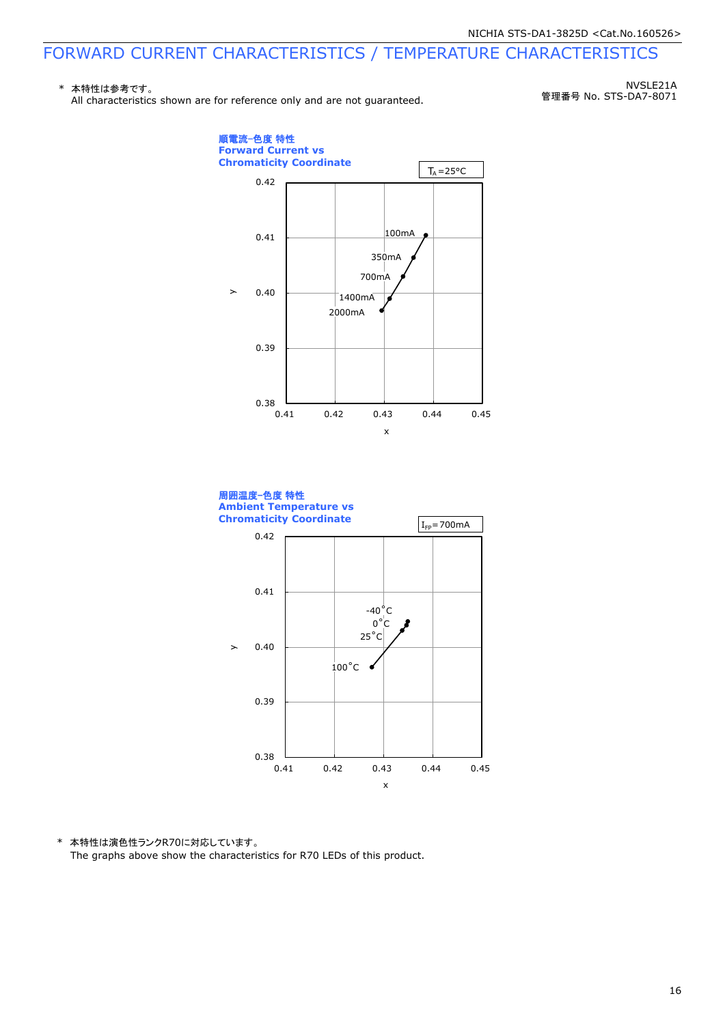#### \* 本特性は参考です。 All characteristics shown are for reference only and are not quaranteed.

NVSLE21A 管理番号 No. STS-DA7-8071





\* 本特性は演色性ランクR70に対応しています。 The graphs above show the characteristics for R70 LEDs of this product.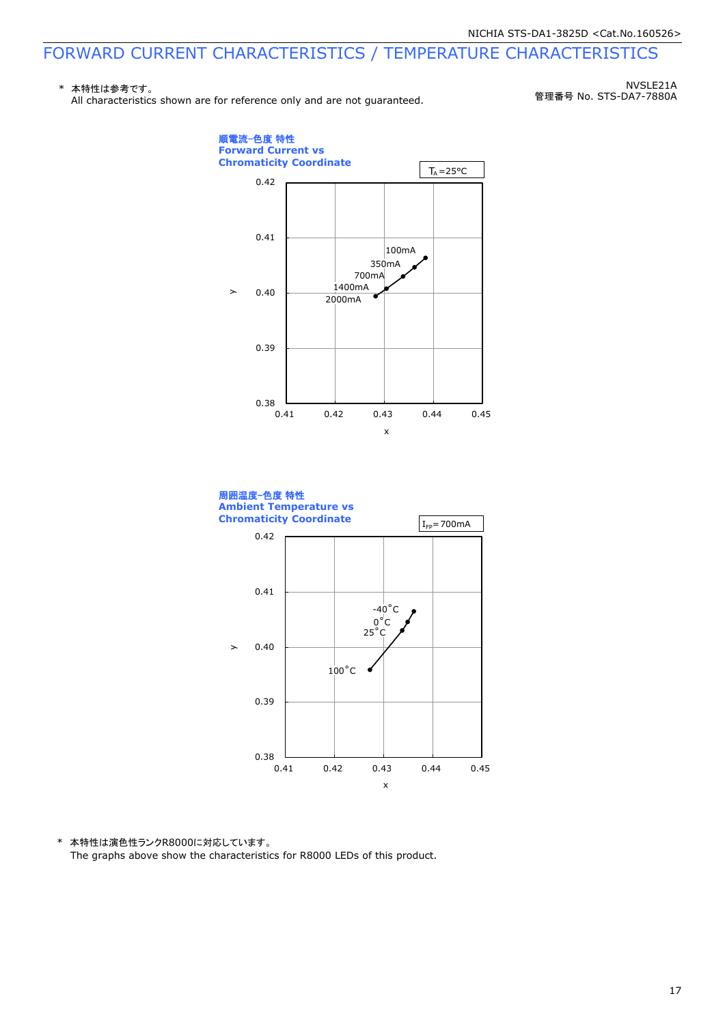#### \* 本特性は参考です。 All characteristics shown are for reference only and are not quaranteed.

NVSLE21A 管理番号 No. STS-DA7-7880A





\* 本特性は演色性ランクR8000に対応しています。 The graphs above show the characteristics for R8000 LEDs of this product.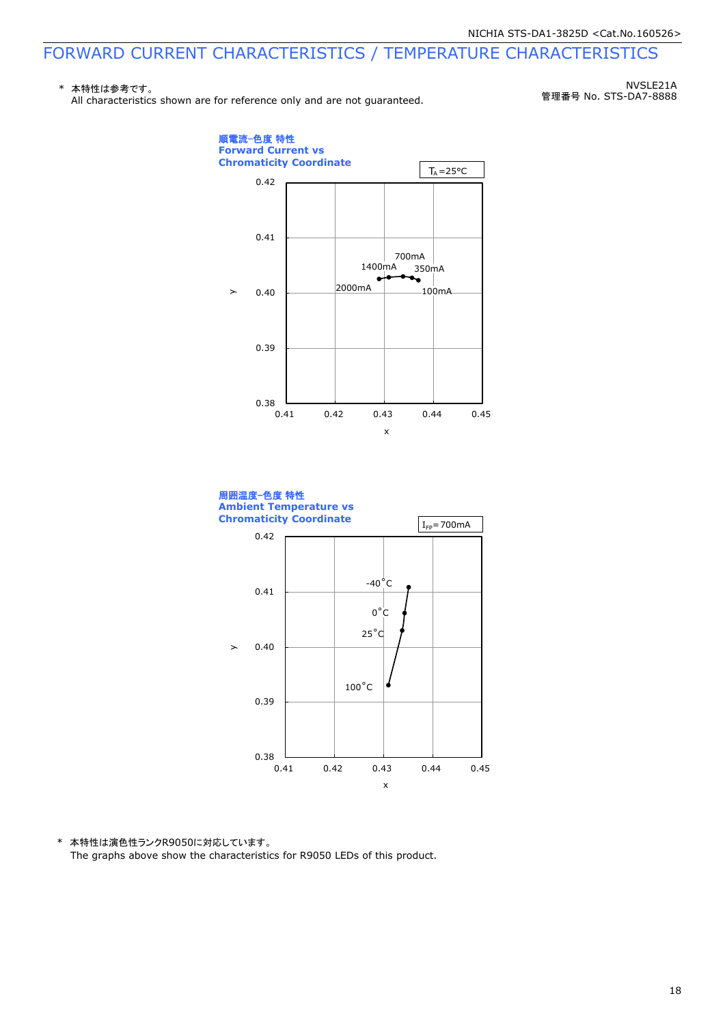#### \* 本特性は参考です。 All characteristics shown are for reference only and are not guaranteed.

NVSLE21A 管理番号 No. STS-DA7-8888





\* 本特性は演色性ランクR9050に対応しています。 The graphs above show the characteristics for R9050 LEDs of this product.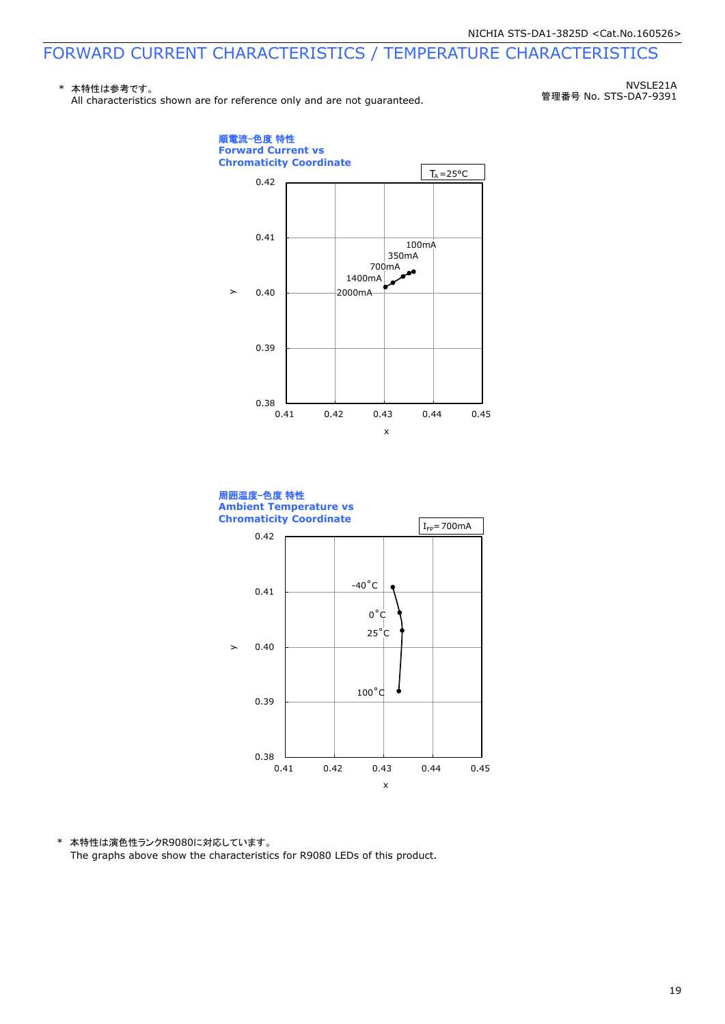#### \* 本特性は参考です。 All characteristics shown are for reference only and are not quaranteed.

NVSLE21A 管理番号 No. STS-DA7-9391





\* 本特性は演色性ランクR9080に対応しています。 The graphs above show the characteristics for R9080 LEDs of this product.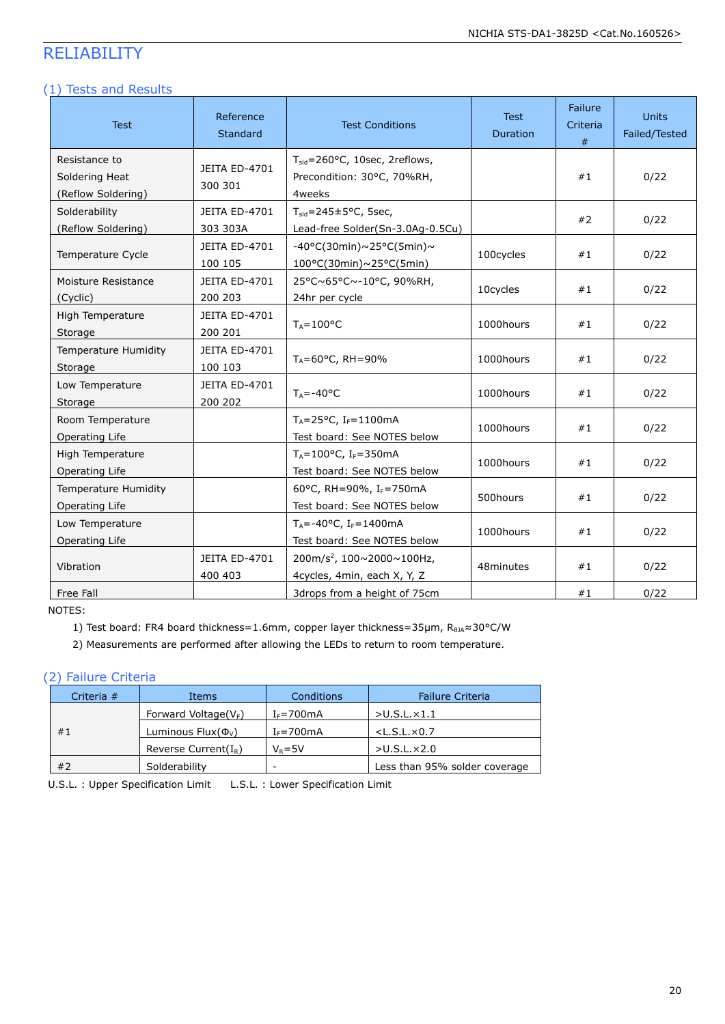### RELIABILITY

#### (1) Tests and Results

| <b>Test</b>                                           | Reference<br>Standard            | <b>Test Conditions</b>                                                            | <b>Test</b><br>Duration | Failure<br>Criteria<br># | <b>Units</b><br>Failed/Tested |
|-------------------------------------------------------|----------------------------------|-----------------------------------------------------------------------------------|-------------------------|--------------------------|-------------------------------|
| Resistance to<br>Soldering Heat<br>(Reflow Soldering) | JEITA ED-4701<br>300 301         | T <sub>sid</sub> =260°C, 10sec, 2reflows,<br>Precondition: 30°C, 70%RH,<br>4weeks |                         | #1                       | 0/22                          |
| Solderability<br>(Reflow Soldering)                   | <b>JEITA ED-4701</b><br>303 303A | $T_{\text{sid}} = 245 \pm 5^{\circ}$ C, 5sec,<br>Lead-free Solder(Sn-3.0Ag-0.5Cu) |                         | #2                       | 0/22                          |
| Temperature Cycle                                     | JEITA ED-4701<br>100 105         | -40°C(30min)~25°C(5min)~<br>100°C(30min)~25°C(5min)                               | 100cycles               | #1                       | 0/22                          |
| Moisture Resistance<br>(Cyclic)                       | <b>JEITA ED-4701</b><br>200 203  | 25°C~65°C~-10°C, 90%RH,<br>24hr per cycle                                         | 10cycles                | #1                       | 0/22                          |
| High Temperature<br>Storage                           | <b>JEITA ED-4701</b><br>200 201  | $T_A = 100^{\circ}C$                                                              | 1000hours               | #1                       | 0/22                          |
| Temperature Humidity<br>Storage                       | <b>JEITA ED-4701</b><br>100 103  | $T_A = 60^{\circ}$ C, RH = 90%                                                    | 1000hours               | #1                       | 0/22                          |
| Low Temperature<br>Storage                            | <b>JEITA ED-4701</b><br>200 202  | $T_A = -40$ °C                                                                    | 1000hours               | #1                       | 0/22                          |
| Room Temperature<br>Operating Life                    |                                  | $T_A = 25^{\circ}C$ , $I_F = 1100mA$<br>Test board: See NOTES below               | 1000hours               | #1                       | 0/22                          |
| High Temperature<br>Operating Life                    |                                  | $T_A = 100^{\circ}$ C, I <sub>F</sub> =350mA<br>Test board: See NOTES below       | 1000hours               | #1                       | 0/22                          |
| Temperature Humidity<br>Operating Life                |                                  | 60°C, RH=90%, IF=750mA<br>Test board: See NOTES below                             | 500hours                | #1                       | 0/22                          |
| Low Temperature<br>Operating Life                     |                                  | $T_A = -40$ °C, I <sub>F</sub> =1400mA<br>Test board: See NOTES below             | 1000hours               | #1                       | 0/22                          |
| Vibration                                             | <b>JEITA ED-4701</b><br>400 403  | 200m/s <sup>2</sup> , 100~2000~100Hz,<br>4cycles, 4min, each X, Y, Z              | 48minutes               | #1                       | 0/22                          |
| Free Fall                                             |                                  | 3drops from a height of 75cm                                                      |                         | #1                       | 0/22                          |

NOTES:

1) Test board: FR4 board thickness=1.6mm, copper layer thickness=35µm, R<sub>0JA</sub>≈30°C/W

2) Measurements are performed after allowing the LEDs to return to room temperature.

#### (2) Failure Criteria

| Criteria $#$ | <b>Items</b>               | Conditions       | <b>Failure Criteria</b>       |
|--------------|----------------------------|------------------|-------------------------------|
| #1           | Forward Voltage( $V_F$ )   | $I_F = 700$ mA   | $>$ U.S.L. $\times$ 1.1       |
|              | Luminous Flux $(\Phi_{V})$ | $I_F = 700$ mA   | $<$ L.S.L. $\times$ 0.7       |
|              | Reverse Current $(I_R)$    | $V_{\rm B} = 5V$ | $>$ U.S.L. $\times$ 2.0       |
| #2           | Solderability              | -                | Less than 95% solder coverage |

U.S.L. : Upper Specification Limit L.S.L. : Lower Specification Limit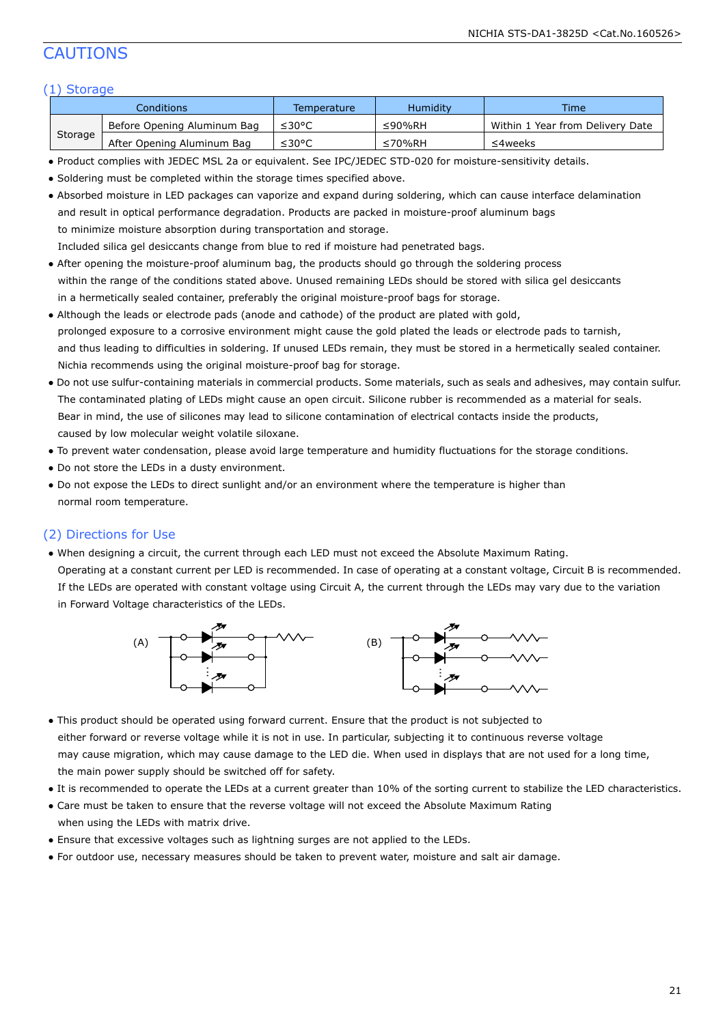### CAUTIONS

#### (1) Storage

| Conditions |                             | Temperature | <b>Humidity</b> | Time                             |
|------------|-----------------------------|-------------|-----------------|----------------------------------|
| Storage    | Before Opening Aluminum Bag | ≤30°C       | ≤90%RH          | Within 1 Year from Delivery Date |
|            | After Opening Aluminum Bag  | ≤30°C       | ≤70%RH          | ≤4weeks                          |

- Product complies with JEDEC MSL 2a or equivalent. See IPC/JEDEC STD-020 for moisture-sensitivity details.
- Soldering must be completed within the storage times specified above.
- Absorbed moisture in LED packages can vaporize and expand during soldering, which can cause interface delamination and result in optical performance degradation. Products are packed in moisture-proof aluminum bags to minimize moisture absorption during transportation and storage. Included silica gel desiccants change from blue to red if moisture had penetrated bags.
- After opening the moisture-proof aluminum bag, the products should go through the soldering process within the range of the conditions stated above. Unused remaining LEDs should be stored with silica gel desiccants in a hermetically sealed container, preferably the original moisture-proof bags for storage.
- Although the leads or electrode pads (anode and cathode) of the product are plated with gold, prolonged exposure to a corrosive environment might cause the gold plated the leads or electrode pads to tarnish, and thus leading to difficulties in soldering. If unused LEDs remain, they must be stored in a hermetically sealed container. Nichia recommends using the original moisture-proof bag for storage.
- Do not use sulfur-containing materials in commercial products. Some materials, such as seals and adhesives, may contain sulfur. The contaminated plating of LEDs might cause an open circuit. Silicone rubber is recommended as a material for seals. Bear in mind, the use of silicones may lead to silicone contamination of electrical contacts inside the products, caused by low molecular weight volatile siloxane.
- To prevent water condensation, please avoid large temperature and humidity fluctuations for the storage conditions.
- Do not store the LEDs in a dusty environment.
- Do not expose the LEDs to direct sunlight and/or an environment where the temperature is higher than normal room temperature.

#### (2) Directions for Use

● When designing a circuit, the current through each LED must not exceed the Absolute Maximum Rating. Operating at a constant current per LED is recommended. In case of operating at a constant voltage, Circuit B is recommended. If the LEDs are operated with constant voltage using Circuit A, the current through the LEDs may vary due to the variation in Forward Voltage characteristics of the LEDs.



- This product should be operated using forward current. Ensure that the product is not subjected to either forward or reverse voltage while it is not in use. In particular, subjecting it to continuous reverse voltage may cause migration, which may cause damage to the LED die. When used in displays that are not used for a long time, the main power supply should be switched off for safety.
- It is recommended to operate the LEDs at a current greater than 10% of the sorting current to stabilize the LED characteristics.
- Care must be taken to ensure that the reverse voltage will not exceed the Absolute Maximum Rating when using the LEDs with matrix drive.
- Ensure that excessive voltages such as lightning surges are not applied to the LEDs.
- For outdoor use, necessary measures should be taken to prevent water, moisture and salt air damage.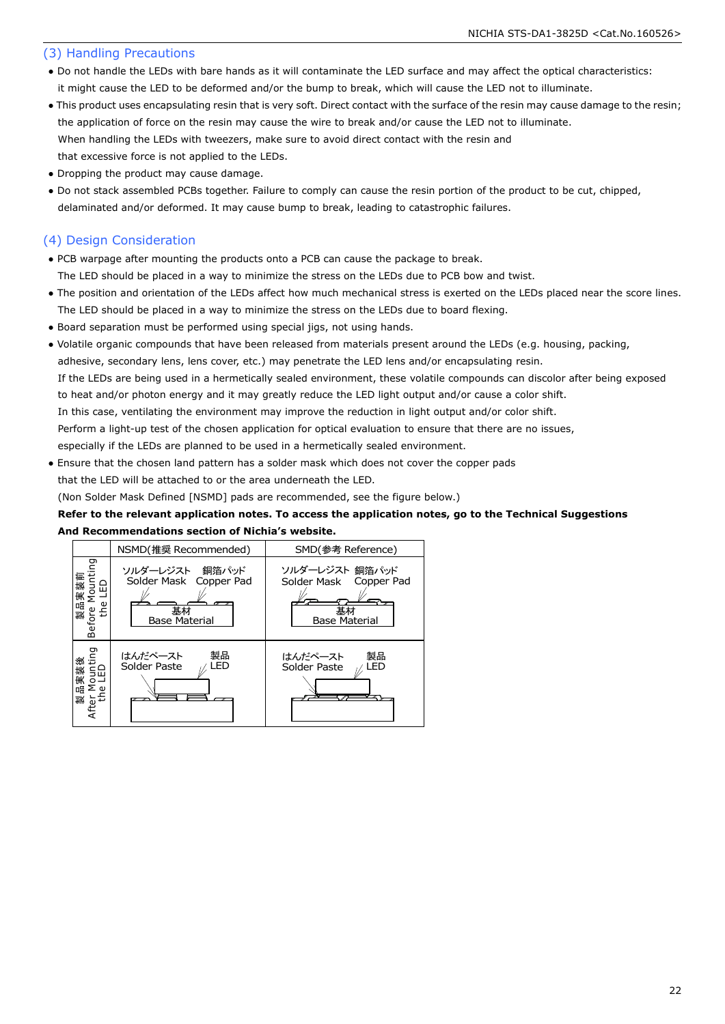#### (3) Handling Precautions

- Do not handle the LEDs with bare hands as it will contaminate the LED surface and may affect the optical characteristics: it might cause the LED to be deformed and/or the bump to break, which will cause the LED not to illuminate.
- This product uses encapsulating resin that is very soft. Direct contact with the surface of the resin may cause damage to the resin; the application of force on the resin may cause the wire to break and/or cause the LED not to illuminate. When handling the LEDs with tweezers, make sure to avoid direct contact with the resin and that excessive force is not applied to the LEDs.
- Dropping the product may cause damage.
- Do not stack assembled PCBs together. Failure to comply can cause the resin portion of the product to be cut, chipped, delaminated and/or deformed. It may cause bump to break, leading to catastrophic failures.

#### (4) Design Consideration

- PCB warpage after mounting the products onto a PCB can cause the package to break. The LED should be placed in a way to minimize the stress on the LEDs due to PCB bow and twist.
- The position and orientation of the LEDs affect how much mechanical stress is exerted on the LEDs placed near the score lines. The LED should be placed in a way to minimize the stress on the LEDs due to board flexing.
- Board separation must be performed using special jigs, not using hands.
- Volatile organic compounds that have been released from materials present around the LEDs (e.g. housing, packing, adhesive, secondary lens, lens cover, etc.) may penetrate the LED lens and/or encapsulating resin. If the LEDs are being used in a hermetically sealed environment, these volatile compounds can discolor after being exposed to heat and/or photon energy and it may greatly reduce the LED light output and/or cause a color shift. In this case, ventilating the environment may improve the reduction in light output and/or color shift. Perform a light-up test of the chosen application for optical evaluation to ensure that there are no issues, especially if the LEDs are planned to be used in a hermetically sealed environment.
- Ensure that the chosen land pattern has a solder mask which does not cover the copper pads that the LED will be attached to or the area underneath the LED.

(Non Solder Mask Defined [NSMD] pads are recommended, see the figure below.)

#### **Refer to the relevant application notes. To access the application notes, go to the Technical Suggestions And Recommendations section of Nichia's website.**

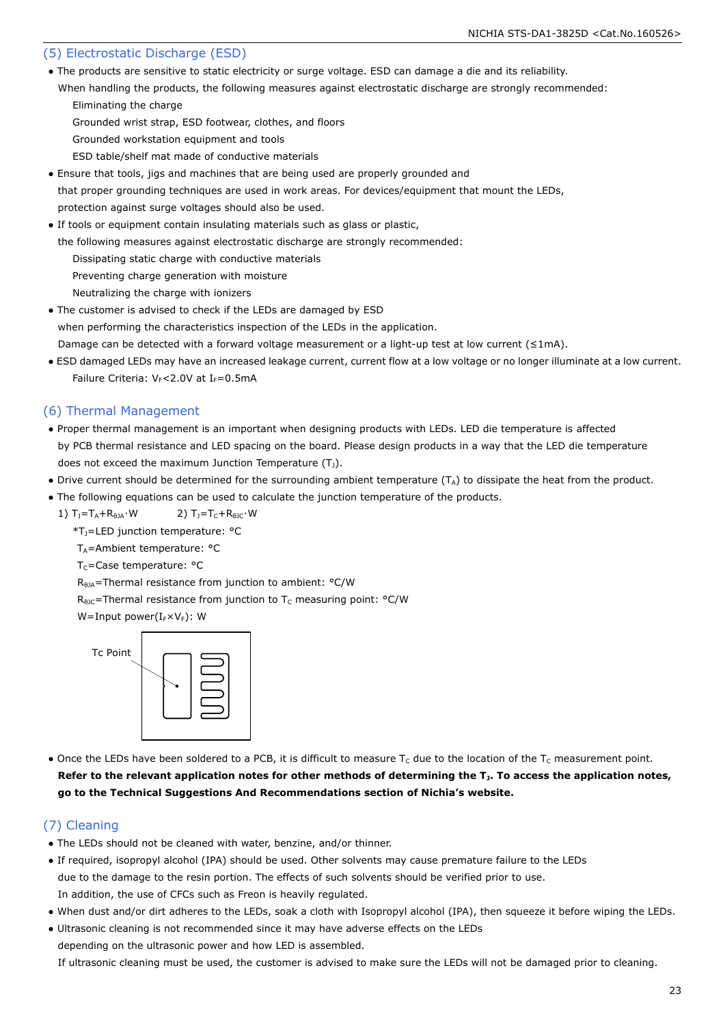#### (5) Electrostatic Discharge (ESD)

- The products are sensitive to static electricity or surge voltage. ESD can damage a die and its reliability.
- When handling the products, the following measures against electrostatic discharge are strongly recommended: Eliminating the charge
	- Grounded wrist strap, ESD footwear, clothes, and floors
	- Grounded workstation equipment and tools
	- ESD table/shelf mat made of conductive materials
- Ensure that tools, jigs and machines that are being used are properly grounded and that proper grounding techniques are used in work areas. For devices/equipment that mount the LEDs, protection against surge voltages should also be used.
- If tools or equipment contain insulating materials such as glass or plastic, the following measures against electrostatic discharge are strongly recommended:
	- Dissipating static charge with conductive materials
	- Preventing charge generation with moisture
	- Neutralizing the charge with ionizers
- The customer is advised to check if the LEDs are damaged by ESD when performing the characteristics inspection of the LEDs in the application. Damage can be detected with a forward voltage measurement or a light-up test at low current (≤1mA).
- ESD damaged LEDs may have an increased leakage current, current flow at a low voltage or no longer illuminate at a low current. Failure Criteria:  $V_F$ <2.0V at I<sub>F</sub>=0.5mA

#### (6) Thermal Management

- Proper thermal management is an important when designing products with LEDs. LED die temperature is affected by PCB thermal resistance and LED spacing on the board. Please design products in a way that the LED die temperature does not exceed the maximum Junction Temperature  $(T_1)$ .
- Drive current should be determined for the surrounding ambient temperature ( $T_A$ ) to dissipate the heat from the product.
- The following equations can be used to calculate the junction temperature of the products.
	- 1)  $T_1 = T_A + R_{\theta} + W$  2)  $T_1 = T_C + R_{\theta} + W$ 
		- $T_1$ =LED junction temperature:  $^{\circ}$ C
		- $T_A$ =Ambient temperature: °C
		- T<sub>C</sub>=Case temperature: °C

 $R_{HJA}$ =Thermal resistance from junction to ambient: °C/W

 $R_{\theta$ JC=Thermal resistance from junction to T<sub>C</sub> measuring point: °C/W

```
W=Input power(I_F\times V_F): W
```


• Once the LEDs have been soldered to a PCB, it is difficult to measure  $T_c$  due to the location of the  $T_c$  measurement point. **Refer to the relevant application notes for other methods of determining the TJ. To access the application notes, go to the Technical Suggestions And Recommendations section of Nichia's website.**

#### (7) Cleaning

- The LEDs should not be cleaned with water, benzine, and/or thinner.
- If required, isopropyl alcohol (IPA) should be used. Other solvents may cause premature failure to the LEDs due to the damage to the resin portion. The effects of such solvents should be verified prior to use. In addition, the use of CFCs such as Freon is heavily regulated.
- When dust and/or dirt adheres to the LEDs, soak a cloth with Isopropyl alcohol (IPA), then squeeze it before wiping the LEDs.
- Ultrasonic cleaning is not recommended since it may have adverse effects on the LEDs depending on the ultrasonic power and how LED is assembled.

If ultrasonic cleaning must be used, the customer is advised to make sure the LEDs will not be damaged prior to cleaning.